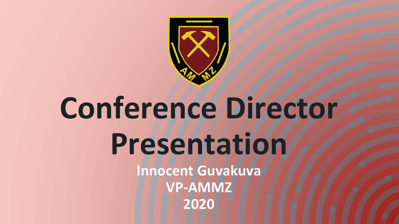

## **Conference Director Presentation Innocent Guvakuva VP-AMMZ 2020**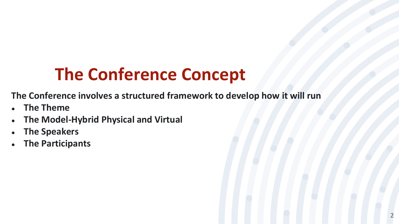## **The Conference Concept**

**The Conference involves a structured framework to develop how it will run**

- **The Theme**
- **The Model-Hybrid Physical and Virtual**
- **The Speakers**
- **The Participants**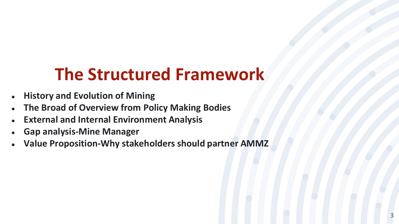## **The Structured Framework**

- **History and Evolution of Mining**
- **The Broad of Overview from Policy Making Bodies**
- **External and Internal Environment Analysis**
- **Gap analysis-Mine Manager**
- **Value Proposition-Why stakeholders should partner AMMZ**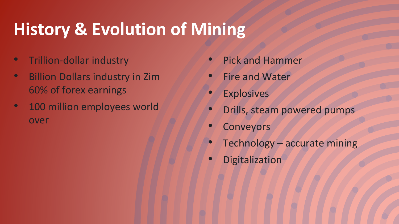## **History & Evolution of Mining**

- Trillion-dollar industry
- Billion Dollars industry in Zim 60% of forex earnings
- 100 million employees world over
- Pick and Hammer
- **Fire and Water**
- **Explosives**
- Drills, steam powered pumps
- **Conveyors**
- Technology accurate mining
- **Digitalization**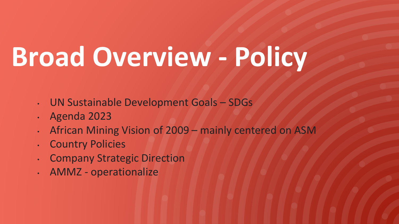# **Broad Overview - Policy**

- UN Sustainable Development Goals SDGs
- Agenda 2023
- African Mining Vision of 2009 mainly centered on ASM
- **Country Policies**
- Company Strategic Direction
- AMMZ operationalize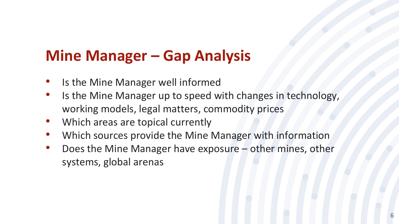### **Mine Manager – Gap Analysis**

- Is the Mine Manager well informed
- Is the Mine Manager up to speed with changes in technology, working models, legal matters, commodity prices
- Which areas are topical currently
- Which sources provide the Mine Manager with information
- Does the Mine Manager have exposure other mines, other systems, global arenas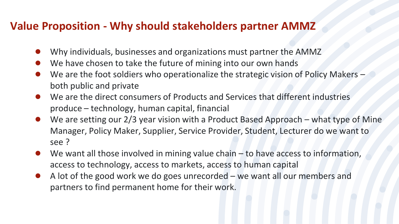#### **Value Proposition - Why should stakeholders partner AMMZ**

- Why individuals, businesses and organizations must partner the AMMZ
- We have chosen to take the future of mining into our own hands
- We are the foot soldiers who operationalize the strategic vision of Policy Makers both public and private
- We are the direct consumers of Products and Services that different industries produce – technology, human capital, financial
- We are setting our  $2/3$  year vision with a Product Based Approach what type of Mine Manager, Policy Maker, Supplier, Service Provider, Student, Lecturer do we want to see ?
- We want all those involved in mining value chain  $-$  to have access to information, access to technology, access to markets, access to human capital
- A lot of the good work we do goes unrecorded we want all our members and partners to find permanent home for their work.